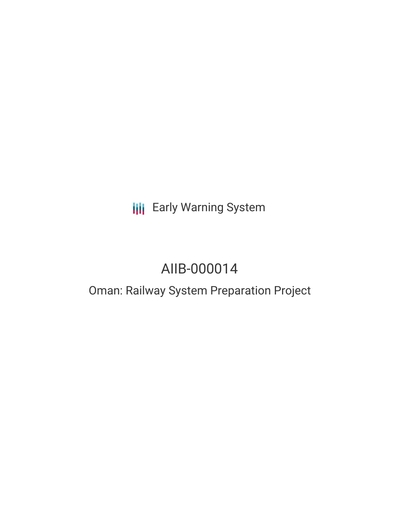# **III** Early Warning System

# AIIB-000014

## Oman: Railway System Preparation Project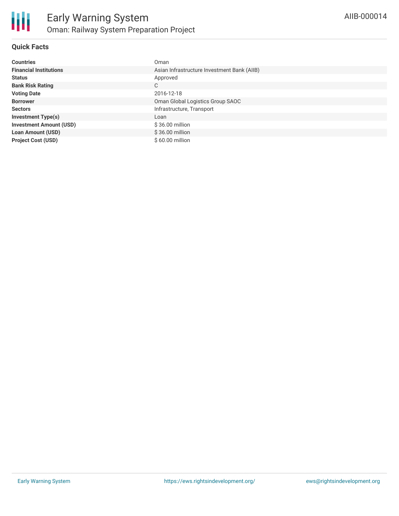

### **Quick Facts**

| <b>Countries</b>               | Oman                                        |
|--------------------------------|---------------------------------------------|
| <b>Financial Institutions</b>  | Asian Infrastructure Investment Bank (AIIB) |
| <b>Status</b>                  | Approved                                    |
| <b>Bank Risk Rating</b>        | C                                           |
| <b>Voting Date</b>             | 2016-12-18                                  |
| <b>Borrower</b>                | Oman Global Logistics Group SAOC            |
| <b>Sectors</b>                 | Infrastructure, Transport                   |
| <b>Investment Type(s)</b>      | Loan                                        |
| <b>Investment Amount (USD)</b> | $$36.00$ million                            |
| <b>Loan Amount (USD)</b>       | $$36.00$ million                            |
| <b>Project Cost (USD)</b>      | $$60.00$ million                            |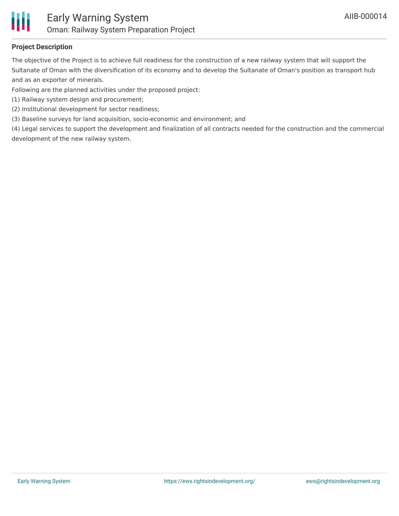

### **Project Description**

The objective of the Project is to achieve full readiness for the construction of a new railway system that will support the Sultanate of Oman with the diversification of its economy and to develop the Sultanate of Oman's position as transport hub and as an exporter of minerals.

Following are the planned activities under the proposed project:

- (1) Railway system design and procurement;
- (2) Institutional development for sector readiness;

(3) Baseline surveys for land acquisition, socio-economic and environment; and

(4) Legal services to support the development and finalization of all contracts needed for the construction and the commercial development of the new railway system.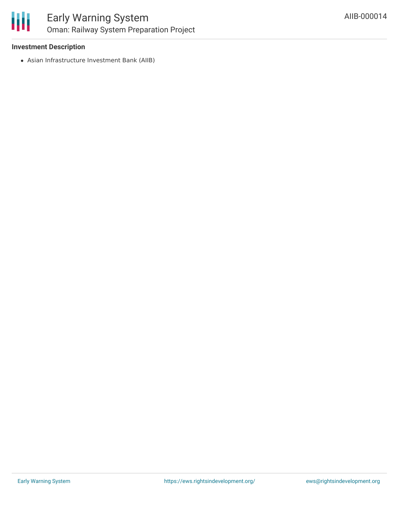

### Early Warning System Oman: Railway System Preparation Project

### **Investment Description**

Asian Infrastructure Investment Bank (AIIB)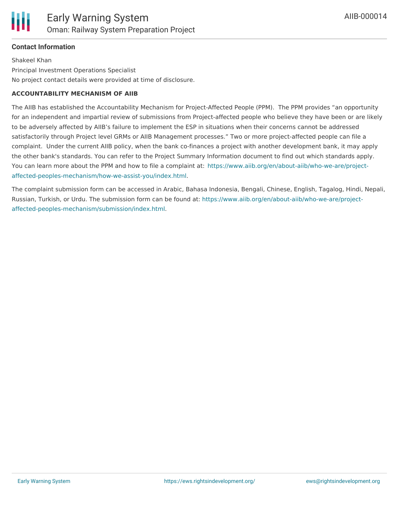

### **Contact Information**

Shakeel Khan Principal Investment Operations Specialist No project contact details were provided at time of disclosure.

#### **ACCOUNTABILITY MECHANISM OF AIIB**

The AIIB has established the Accountability Mechanism for Project-Affected People (PPM). The PPM provides "an opportunity for an independent and impartial review of submissions from Project-affected people who believe they have been or are likely to be adversely affected by AIIB's failure to implement the ESP in situations when their concerns cannot be addressed satisfactorily through Project level GRMs or AIIB Management processes." Two or more project-affected people can file a complaint. Under the current AIIB policy, when the bank co-finances a project with another development bank, it may apply the other bank's standards. You can refer to the Project Summary Information document to find out which standards apply. You can learn more about the PPM and how to file a complaint at: [https://www.aiib.org/en/about-aiib/who-we-are/project](https://www.aiib.org/en/about-aiib/who-we-are/project-affected-peoples-mechanism/how-we-assist-you/index.html)affected-peoples-mechanism/how-we-assist-you/index.html.

The complaint submission form can be accessed in Arabic, Bahasa Indonesia, Bengali, Chinese, English, Tagalog, Hindi, Nepali, Russian, Turkish, or Urdu. The submission form can be found at: [https://www.aiib.org/en/about-aiib/who-we-are/project](https://www.aiib.org/en/about-aiib/who-we-are/project-affected-peoples-mechanism/submission/index.html)affected-peoples-mechanism/submission/index.html.